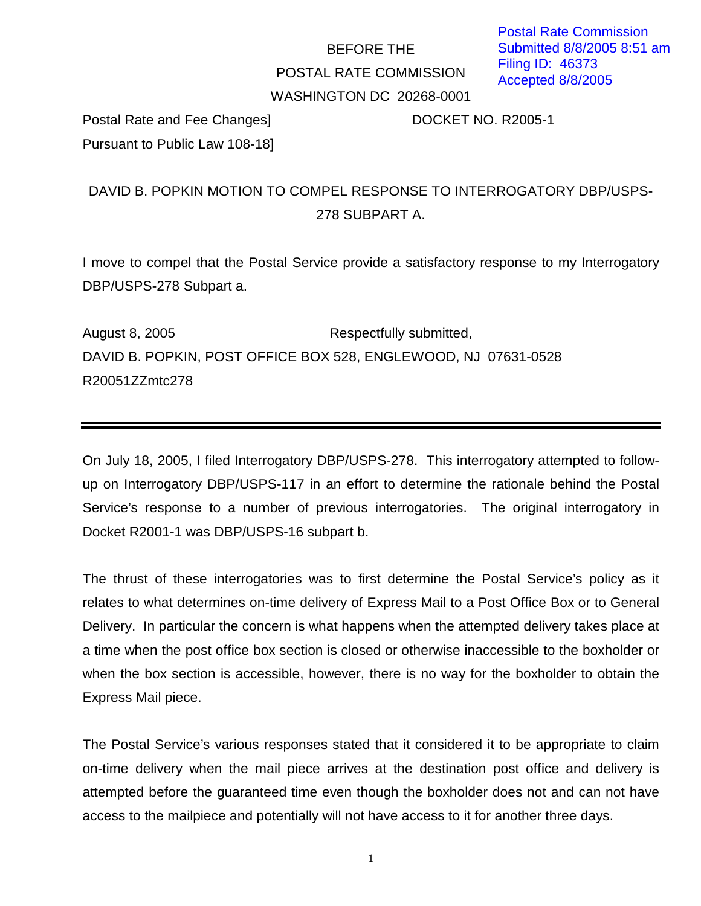# BEFORE THE POSTAL RATE COMMISSION WASHINGTON DC 20268-0001

Postal Rate and Fee Changes] DOCKET NO. R2005-1 Pursuant to Public Law 108-18]

# DAVID B. POPKIN MOTION TO COMPEL RESPONSE TO INTERROGATORY DBP/USPS-278 SUBPART A.

I move to compel that the Postal Service provide a satisfactory response to my Interrogatory DBP/USPS-278 Subpart a.

August 8, 2005 **Respectfully submitted,** DAVID B. POPKIN, POST OFFICE BOX 528, ENGLEWOOD, NJ 07631-0528 R20051ZZmtc278

On July 18, 2005, I filed Interrogatory DBP/USPS-278. This interrogatory attempted to followup on Interrogatory DBP/USPS-117 in an effort to determine the rationale behind the Postal Service's response to a number of previous interrogatories. The original interrogatory in Docket R2001-1 was DBP/USPS-16 subpart b.

The thrust of these interrogatories was to first determine the Postal Service's policy as it relates to what determines on-time delivery of Express Mail to a Post Office Box or to General Delivery. In particular the concern is what happens when the attempted delivery takes place at a time when the post office box section is closed or otherwise inaccessible to the boxholder or when the box section is accessible, however, there is no way for the boxholder to obtain the Express Mail piece.

The Postal Service's various responses stated that it considered it to be appropriate to claim on-time delivery when the mail piece arrives at the destination post office and delivery is attempted before the guaranteed time even though the boxholder does not and can not have access to the mailpiece and potentially will not have access to it for another three days.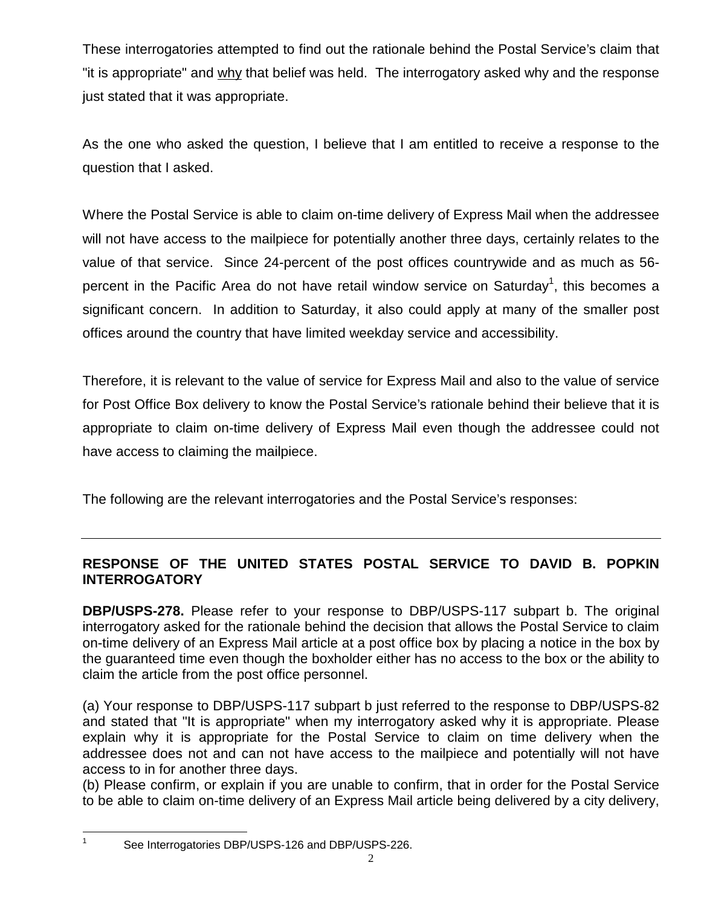These interrogatories attempted to find out the rationale behind the Postal Service's claim that "it is appropriate" and why that belief was held. The interrogatory asked why and the response just stated that it was appropriate.

As the one who asked the question, I believe that I am entitled to receive a response to the question that I asked.

Where the Postal Service is able to claim on-time delivery of Express Mail when the addressee will not have access to the mailpiece for potentially another three days, certainly relates to the value of that service. Since 24-percent of the post offices countrywide and as much as 56 percent in the Pacific Area do not have retail window service on Saturday<sup>1</sup>, this becomes a significant concern. In addition to Saturday, it also could apply at many of the smaller post offices around the country that have limited weekday service and accessibility.

Therefore, it is relevant to the value of service for Express Mail and also to the value of service for Post Office Box delivery to know the Postal Service's rationale behind their believe that it is appropriate to claim on-time delivery of Express Mail even though the addressee could not have access to claiming the mailpiece.

The following are the relevant interrogatories and the Postal Service's responses:

## **RESPONSE OF THE UNITED STATES POSTAL SERVICE TO DAVID B. POPKIN INTERROGATORY**

**DBP/USPS-278.** Please refer to your response to DBP/USPS-117 subpart b. The original interrogatory asked for the rationale behind the decision that allows the Postal Service to claim on-time delivery of an Express Mail article at a post office box by placing a notice in the box by the guaranteed time even though the boxholder either has no access to the box or the ability to claim the article from the post office personnel.

(a) Your response to DBP/USPS-117 subpart b just referred to the response to DBP/USPS-82 and stated that "It is appropriate" when my interrogatory asked why it is appropriate. Please explain why it is appropriate for the Postal Service to claim on time delivery when the addressee does not and can not have access to the mailpiece and potentially will not have access to in for another three days.

(b) Please confirm, or explain if you are unable to confirm, that in order for the Postal Service to be able to claim on-time delivery of an Express Mail article being delivered by a city delivery,

<sup>1</sup> See Interrogatories DBP/USPS-126 and DBP/USPS-226.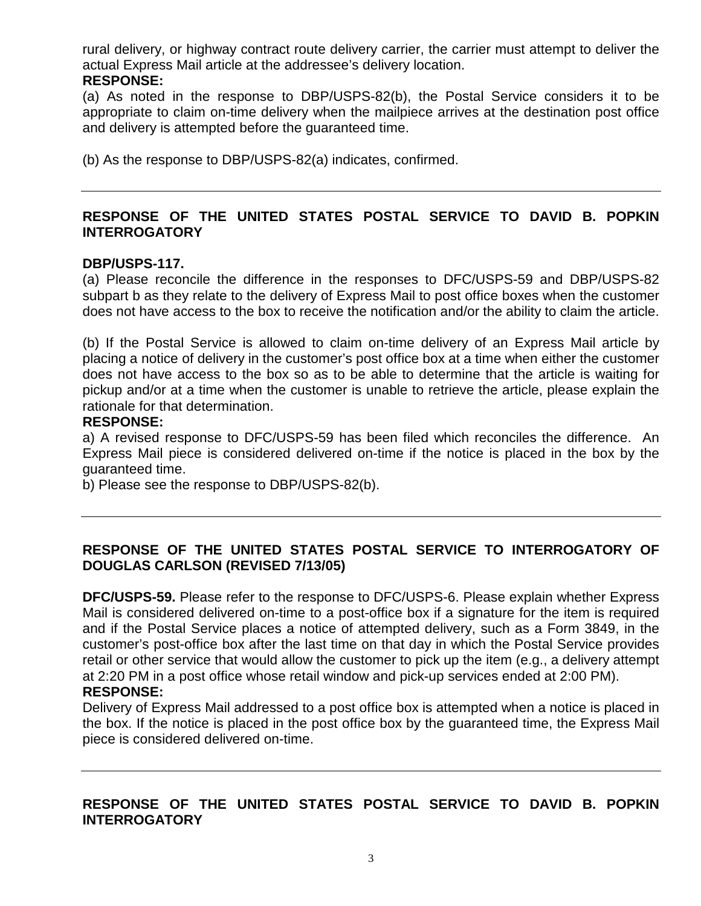rural delivery, or highway contract route delivery carrier, the carrier must attempt to deliver the actual Express Mail article at the addressee's delivery location.

#### **RESPONSE:**

(a) As noted in the response to DBP/USPS-82(b), the Postal Service considers it to be appropriate to claim on-time delivery when the mailpiece arrives at the destination post office and delivery is attempted before the guaranteed time.

(b) As the response to DBP/USPS-82(a) indicates, confirmed.

## **RESPONSE OF THE UNITED STATES POSTAL SERVICE TO DAVID B. POPKIN INTERROGATORY**

#### **DBP/USPS-117.**

(a) Please reconcile the difference in the responses to DFC/USPS-59 and DBP/USPS-82 subpart b as they relate to the delivery of Express Mail to post office boxes when the customer does not have access to the box to receive the notification and/or the ability to claim the article.

(b) If the Postal Service is allowed to claim on-time delivery of an Express Mail article by placing a notice of delivery in the customer's post office box at a time when either the customer does not have access to the box so as to be able to determine that the article is waiting for pickup and/or at a time when the customer is unable to retrieve the article, please explain the rationale for that determination.

#### **RESPONSE:**

a) A revised response to DFC/USPS-59 has been filed which reconciles the difference. An Express Mail piece is considered delivered on-time if the notice is placed in the box by the guaranteed time.

b) Please see the response to DBP/USPS-82(b).

### **RESPONSE OF THE UNITED STATES POSTAL SERVICE TO INTERROGATORY OF DOUGLAS CARLSON (REVISED 7/13/05)**

**DFC/USPS-59.** Please refer to the response to DFC/USPS-6. Please explain whether Express Mail is considered delivered on-time to a post-office box if a signature for the item is required and if the Postal Service places a notice of attempted delivery, such as a Form 3849, in the customer's post-office box after the last time on that day in which the Postal Service provides retail or other service that would allow the customer to pick up the item (e.g., a delivery attempt at 2:20 PM in a post office whose retail window and pick-up services ended at 2:00 PM).

#### **RESPONSE:**

Delivery of Express Mail addressed to a post office box is attempted when a notice is placed in the box. If the notice is placed in the post office box by the guaranteed time, the Express Mail piece is considered delivered on-time.

## **RESPONSE OF THE UNITED STATES POSTAL SERVICE TO DAVID B. POPKIN INTERROGATORY**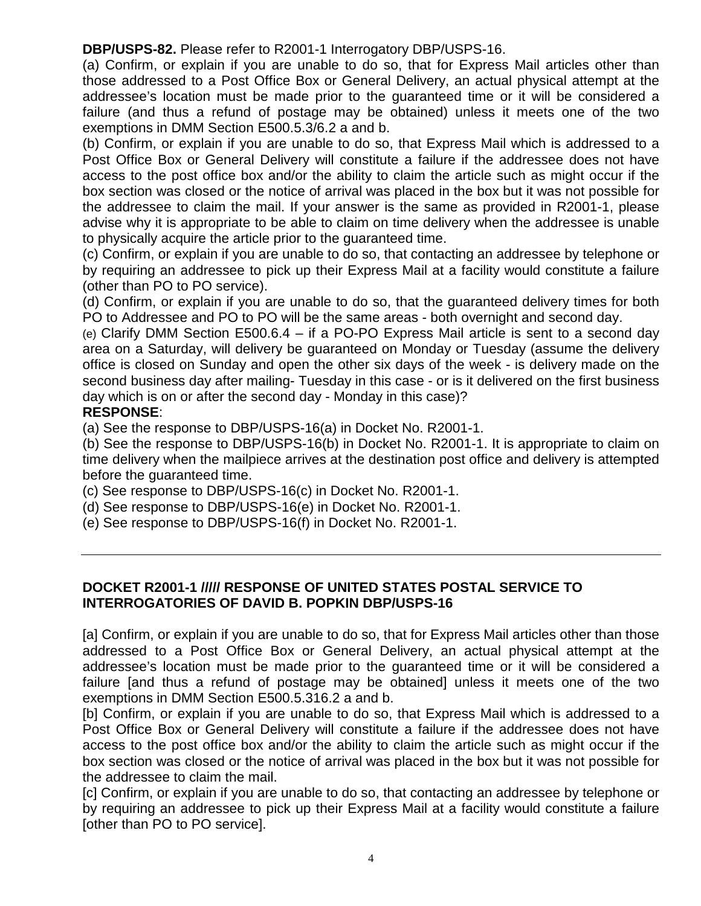**DBP/USPS-82.** Please refer to R2001-1 Interrogatory DBP/USPS-16.

(a) Confirm, or explain if you are unable to do so, that for Express Mail articles other than those addressed to a Post Office Box or General Delivery, an actual physical attempt at the addressee's location must be made prior to the guaranteed time or it will be considered a failure (and thus a refund of postage may be obtained) unless it meets one of the two exemptions in DMM Section E500.5.3/6.2 a and b.

(b) Confirm, or explain if you are unable to do so, that Express Mail which is addressed to a Post Office Box or General Delivery will constitute a failure if the addressee does not have access to the post office box and/or the ability to claim the article such as might occur if the box section was closed or the notice of arrival was placed in the box but it was not possible for the addressee to claim the mail. If your answer is the same as provided in R2001-1, please advise why it is appropriate to be able to claim on time delivery when the addressee is unable to physically acquire the article prior to the guaranteed time.

(c) Confirm, or explain if you are unable to do so, that contacting an addressee by telephone or by requiring an addressee to pick up their Express Mail at a facility would constitute a failure (other than PO to PO service).

(d) Confirm, or explain if you are unable to do so, that the guaranteed delivery times for both PO to Addressee and PO to PO will be the same areas - both overnight and second day.

(e) Clarify DMM Section E500.6.4 – if a PO-PO Express Mail article is sent to a second day area on a Saturday, will delivery be guaranteed on Monday or Tuesday (assume the delivery office is closed on Sunday and open the other six days of the week - is delivery made on the second business day after mailing- Tuesday in this case - or is it delivered on the first business day which is on or after the second day - Monday in this case)?

#### **RESPONSE**:

(a) See the response to DBP/USPS-16(a) in Docket No. R2001-1.

(b) See the response to DBP/USPS-16(b) in Docket No. R2001-1. It is appropriate to claim on time delivery when the mailpiece arrives at the destination post office and delivery is attempted before the guaranteed time.

- (c) See response to DBP/USPS-16(c) in Docket No. R2001-1.
- (d) See response to DBP/USPS-16(e) in Docket No. R2001-1.
- (e) See response to DBP/USPS-16(f) in Docket No. R2001-1.

### **DOCKET R2001-1 ///// RESPONSE OF UNITED STATES POSTAL SERVICE TO INTERROGATORIES OF DAVID B. POPKIN DBP/USPS-16**

[a] Confirm, or explain if you are unable to do so, that for Express Mail articles other than those addressed to a Post Office Box or General Delivery, an actual physical attempt at the addressee's location must be made prior to the guaranteed time or it will be considered a failure [and thus a refund of postage may be obtained] unless it meets one of the two exemptions in DMM Section E500.5.316.2 a and b.

[b] Confirm, or explain if you are unable to do so, that Express Mail which is addressed to a Post Office Box or General Delivery will constitute a failure if the addressee does not have access to the post office box and/or the ability to claim the article such as might occur if the box section was closed or the notice of arrival was placed in the box but it was not possible for the addressee to claim the mail.

[c] Confirm, or explain if you are unable to do so, that contacting an addressee by telephone or by requiring an addressee to pick up their Express Mail at a facility would constitute a failure [other than PO to PO service].